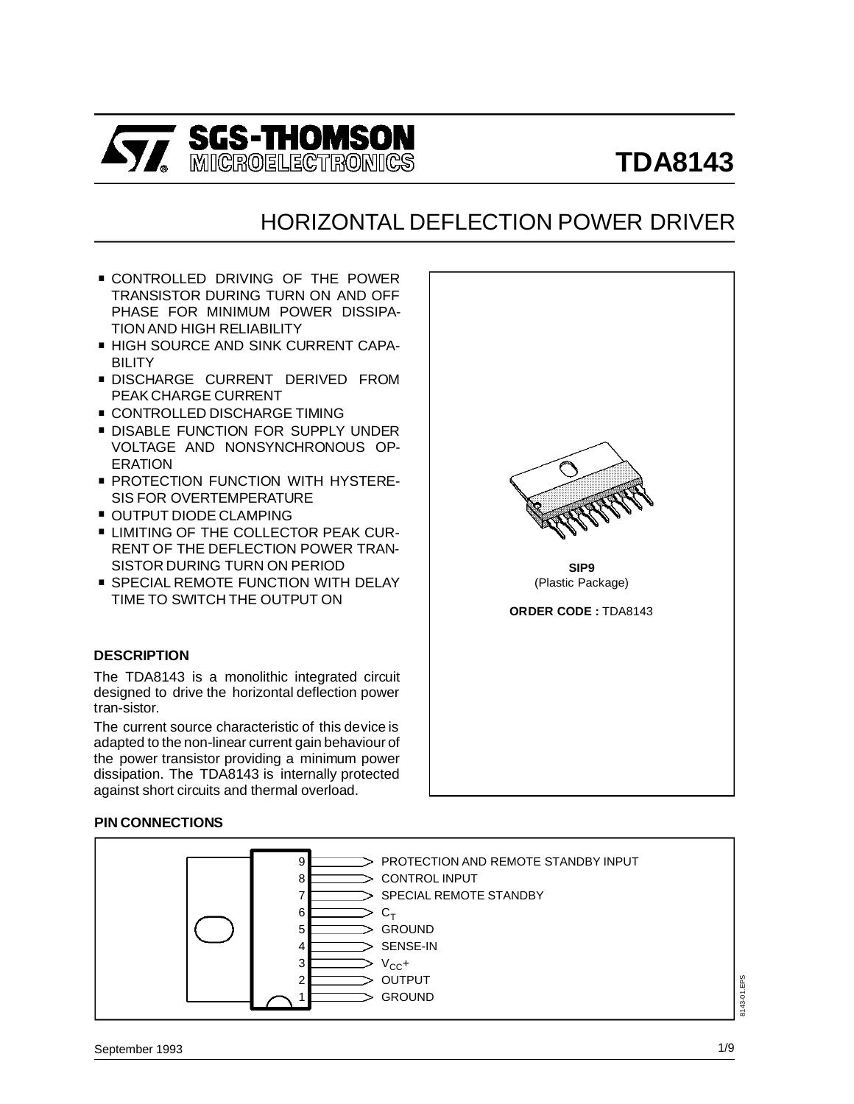

## HORIZONTAL DEFLECTION POWER DRIVER

- . CONTROLLED DRIVING OF THE POWER TRANSISTOR DURING TURN ON AND OFF PHASE FOR MINIMUM POWER DISSIPA-TION AND HIGH RELIABILITY
- . HIGH SOURCE AND SINK CURRENT CAPA-BILITY
- . DISCHARGE CURRENT DERIVED FROM PEAK CHARGE CURRENT
- **CONTROLLED DISCHARGE TIMING**
- **DISABLE FUNCTION FOR SUPPLY UNDER** VOLTAGE AND NONSYNCHRONOUS OP-ERATION
- **PROTECTION FUNCTION WITH HYSTERE-**SIS FOR OVERTEMPERATURE
- **OUTPUT DIODE CLAMPING**
- **ELIMITING OF THE COLLECTOR PEAK CUR-**RENT OF THE DEFLECTION POWER TRAN-SISTOR DURING TURN ON PERIOD
- **SPECIAL REMOTE FUNCTION WITH DELAY** TIME TO SWITCH THE OUTPUT ON

#### **DESCRIPTION**

The TDA8143 is a monolithic integrated circuit designed to drive the horizontal deflection power tran-sistor.

The current source characteristic of this device is adapted to the non-linear current gain behaviour of the power transistor providing a minimum power dissipation. The TDA8143 is internally protected against short circuits and thermal overload.

#### **PIN CONNECTIONS**





**SIP9** (Plastic Package)

**ORDER CODE :** TDA8143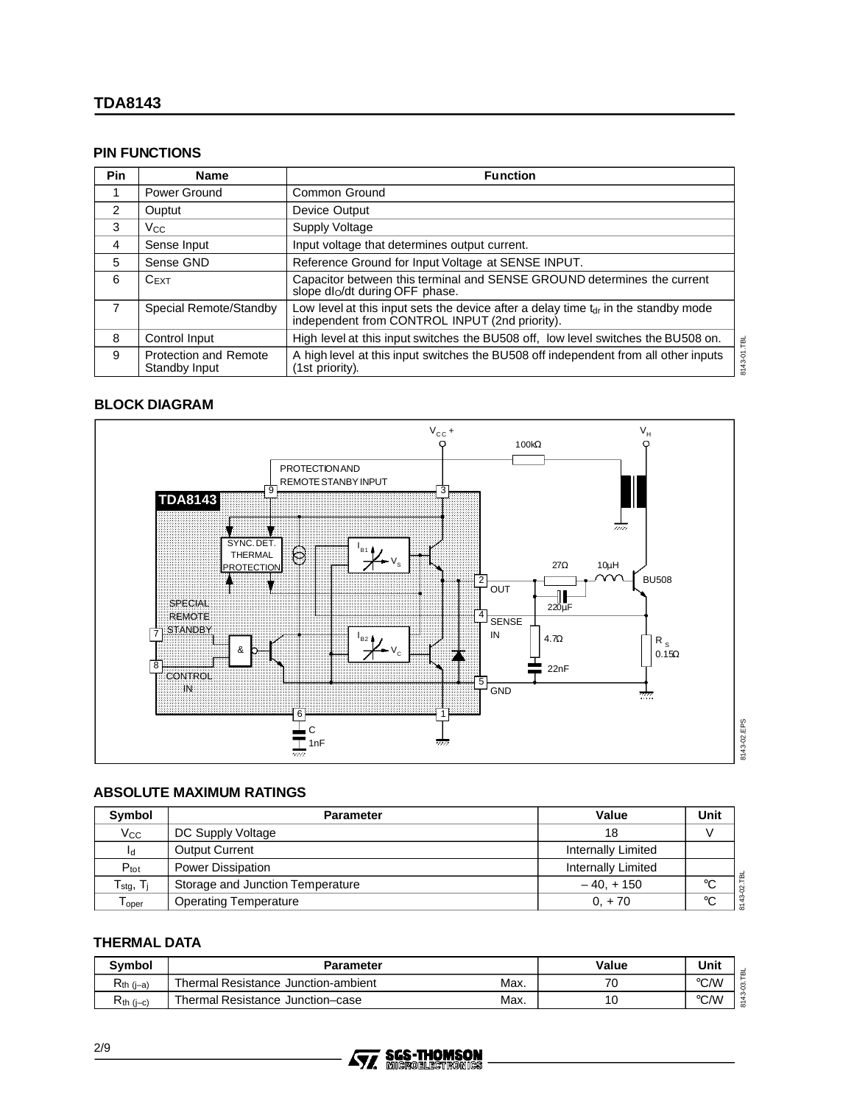#### **PIN FUNCTIONS**

| <b>Pin</b>    | <b>Name</b>                                   | <b>Function</b>                                                                                                                        |             |  |
|---------------|-----------------------------------------------|----------------------------------------------------------------------------------------------------------------------------------------|-------------|--|
|               | Power Ground                                  | Common Ground                                                                                                                          |             |  |
| $\mathcal{P}$ | Ouptut                                        | Device Output                                                                                                                          |             |  |
| 3             | <b>Vcc</b>                                    | Supply Voltage                                                                                                                         |             |  |
| 4             | Sense Input                                   | Input voltage that determines output current.                                                                                          |             |  |
| 5             | Sense GND                                     | Reference Ground for Input Voltage at SENSE INPUT.                                                                                     |             |  |
| 6             | $C$ <sub>EXT</sub>                            | Capacitor between this terminal and SENSE GROUND determines the current<br>slope dlo/dt during OFF phase.                              |             |  |
| 7             | Special Remote/Standby                        | Low level at this input sets the device after a delay time $tdr$ in the standby mode<br>independent from CONTROL INPUT (2nd priority). |             |  |
| 8             | Control Input                                 | High level at this input switches the BU508 off, low level switches the BU508 on.                                                      |             |  |
| 9             | <b>Protection and Remote</b><br>Standby Input | A high level at this input switches the BU508 off independent from all other inputs<br>(1st priority).                                 | 3143-01.TBL |  |

#### **BLOCK DIAGRAM**



#### **ABSOLUTE MAXIMUM RATINGS**

| Symbol                         | <b>Parameter</b>                 | Value              | Unit        |
|--------------------------------|----------------------------------|--------------------|-------------|
| $V_{\rm CC}$                   | DC Supply Voltage                | 18                 |             |
| Ιd                             | <b>Output Current</b>            | Internally Limited |             |
| $P_{\text{tot}}$               | <b>Power Dissipation</b>         | Internally Limited |             |
| $T_{\text{stg}}, T_{\text{i}}$ | Storage and Junction Temperature | $-40. + 150$       | ം           |
| $\mathsf{T}_{\mathsf{oper}}$   | <b>Operating Temperature</b>     | $0. + 70$          | $^{\circ}C$ |

## **THERMAL DATA**

| <b>Symbol</b>  | <b>Parameter</b>                            | Value | Unit          |
|----------------|---------------------------------------------|-------|---------------|
| $R_{th (i-a)}$ | Max.<br>Thermal Resistance Junction-ambient | 70    | °C/W          |
| $R_{th}$ (i-c) | Max.<br>Thermal Resistance Junction-case    | 10    | $\degree$ C/W |

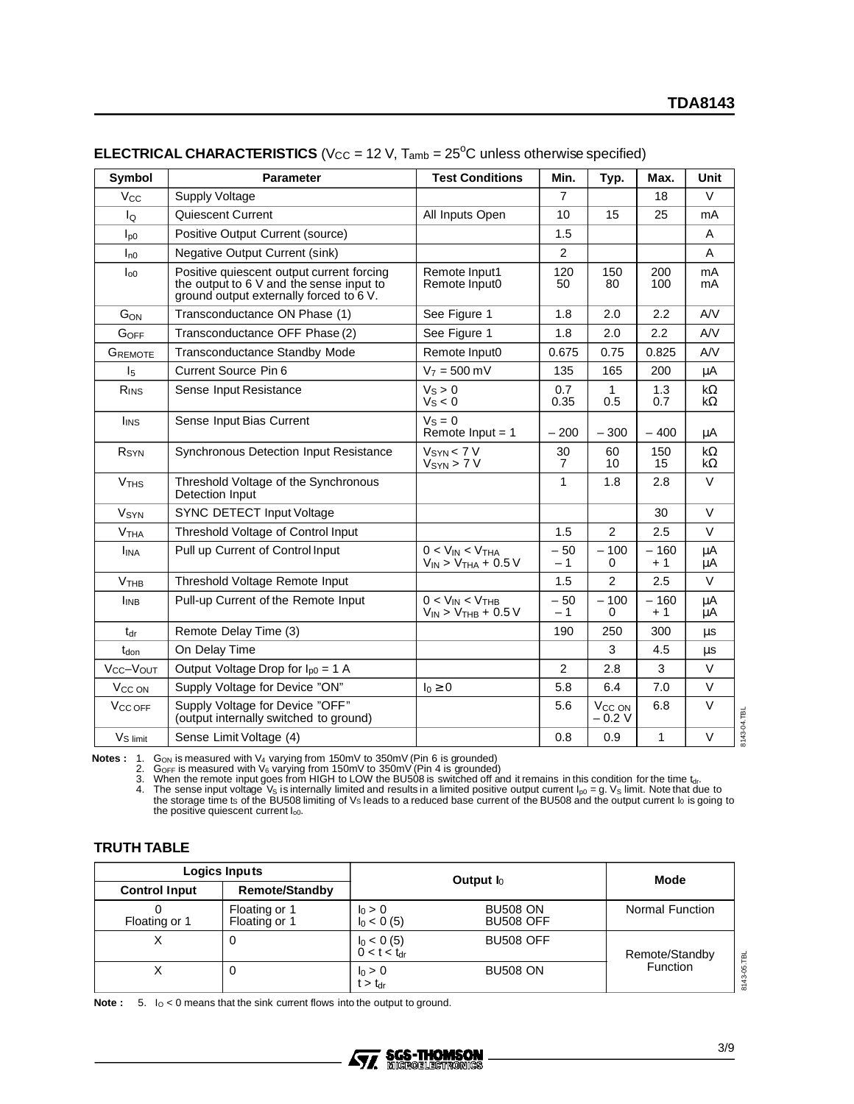| Symbol                 | <b>Parameter</b>                                                                                                                 | <b>Test Conditions</b>                                 | Min.           | Typ.                          | Max.           | <b>Unit</b>            |
|------------------------|----------------------------------------------------------------------------------------------------------------------------------|--------------------------------------------------------|----------------|-------------------------------|----------------|------------------------|
| $V_{\rm CC}$           | <b>Supply Voltage</b>                                                                                                            |                                                        | $\overline{7}$ |                               | 18             | V                      |
| lo                     | Quiescent Current                                                                                                                | All Inputs Open                                        | 10             | 15                            | 25             | mA                     |
| $I_{\text{D}0}$        | Positive Output Current (source)                                                                                                 |                                                        | 1.5            |                               |                | A                      |
| $I_{n0}$               | <b>Negative Output Current (sink)</b>                                                                                            |                                                        | $\overline{2}$ |                               |                | A                      |
| $I_{00}$               | Positive quiescent output current forcing<br>the output to 6 V and the sense input to<br>ground output externally forced to 6 V. | Remote Input1<br>Remote Input0                         | 120<br>50      | 150<br>80                     | 200<br>100     | mA<br>mA               |
| GON                    | Transconductance ON Phase (1)                                                                                                    | See Figure 1                                           | 1.8            | 2.0                           | 2.2            | AV                     |
| GOFF                   | Transconductance OFF Phase (2)                                                                                                   | See Figure 1                                           | 1.8            | 2.0                           | 2.2            | AV                     |
| GREMOTE                | <b>Transconductance Standby Mode</b>                                                                                             | Remote Input0                                          | 0.675          | 0.75                          | 0.825          | AV                     |
| I <sub>5</sub>         | <b>Current Source Pin 6</b>                                                                                                      | $V_7 = 500$ mV                                         | 135            | 165                           | 200            | $\mu A$                |
| RINS                   | Sense Input Resistance                                                                                                           | $V_S > 0$<br>$V_S < 0$                                 | 0.7<br>0.35    | $\mathbf{1}$<br>0.5           | 1.3<br>0.7     | $k\Omega$<br>$k\Omega$ |
| I <sub>INS</sub>       | Sense Input Bias Current                                                                                                         | $VS = 0$<br>Remote $Input = 1$                         | $-200$         | $-300$                        | $-400$         | μA                     |
| R <sub>SYN</sub>       | Synchronous Detection Input Resistance                                                                                           | $V_{SYN}$ < 7 V<br>$V_{SYN}$ > 7 V                     | 30<br>7        | 60<br>10                      | 150<br>15      | $k\Omega$<br>$k\Omega$ |
| <b>V<sub>THS</sub></b> | Threshold Voltage of the Synchronous<br>Detection Input                                                                          |                                                        | 1              | 1.8                           | 2.8            | V                      |
| <b>V<sub>SYN</sub></b> | SYNC DETECT Input Voltage                                                                                                        |                                                        |                |                               | 30             | V                      |
| V <sub>THA</sub>       | Threshold Voltage of Control Input                                                                                               |                                                        | 1.5            | $\overline{2}$                | 2.5            | $\vee$                 |
| <b>I</b> INA           | Pull up Current of Control Input                                                                                                 | $0 < V_{IN} < V_{THA}$<br>$V_{IN}$ > $V_{THA}$ + 0.5 V | $-50$<br>$-1$  | $-100$<br>0                   | $-160$<br>$+1$ | μA<br>μA               |
| V <sub>THE</sub>       | Threshold Voltage Remote Input                                                                                                   |                                                        | 1.5            | 2                             | 2.5            | $\vee$                 |
| I <sub>INB</sub>       | Pull-up Current of the Remote Input                                                                                              | $0 < V_{IN} < V_{THB}$<br>$V_{IN}$ > $V_{THB}$ + 0.5 V | $-50$<br>$-1$  | $-100$<br>0                   | $-160$<br>+ 1  | $\mu$ A<br>μA          |
| $t_{dr}$               | Remote Delay Time (3)                                                                                                            |                                                        | 190            | 250                           | 300            | μs                     |
| t <sub>don</sub>       | On Delay Time                                                                                                                    |                                                        |                | 3                             | 4.5            | μs                     |
| Vcc-Vout               | Output Voltage Drop for $I_{p0} = 1$ A                                                                                           |                                                        | $\overline{2}$ | 2.8                           | 3              | $\vee$                 |
| V <sub>CC</sub> ON     | Supply Voltage for Device "ON"                                                                                                   | $I_0 \geq 0$                                           | 5.8            | 6.4                           | 7.0            | $\vee$                 |
| V <sub>CC OFF</sub>    | Supply Voltage for Device "OFF"<br>(output internally switched to ground)                                                        |                                                        | 5.6            | V <sub>CC</sub> ON<br>$-0.2V$ | 6.8            | $\vee$<br>3143-04.TBL  |
| V <sub>S</sub> limit   | Sense Limit Voltage (4)                                                                                                          |                                                        | 0.8            | 0.9                           | 1              | $\vee$                 |

## **ELECTRICAL CHARACTERISTICS** (V<sub>CC</sub> = 12 V,  $T_{amb}$  = 25<sup>o</sup>C unless otherwise specified)

**Notes :** 1. G<sub>ON</sub> is measured with V<sub>4</sub> varying from 150mV to 350mV (Pin 6 is grounded)<br>
2. G<sub>OFF</sub> is measured with V<sub>6</sub> varying from 150mV to 350mV (Pin 4 is grounded)<br>
3. When the remote input goes from HIGH to LOW the

#### **TRUTH TABLE**

|                      | Logics Inputs                  |                                          | Output $I_0$                        | Mode                              |  |
|----------------------|--------------------------------|------------------------------------------|-------------------------------------|-----------------------------------|--|
| <b>Control Input</b> | <b>Remote/Standby</b>          |                                          |                                     |                                   |  |
| Floating or 1        | Floating or 1<br>Floating or 1 | $I_0 > 0$<br>$I_0 < 0$ (5)               | <b>BU508 ON</b><br><b>BU508 OFF</b> | Normal Function                   |  |
|                      | 0                              | $l_0 < 0 (5)$<br>0 < t < t <sub>dr</sub> | <b>BU508 OFF</b>                    | Remote/Standby<br><b>Function</b> |  |
|                      | 0                              | $I_0 > 0$<br>$t > t_{dr}$                | <b>BU508 ON</b>                     |                                   |  |

**Note :**  $5.$   $I_0 < 0$  means that the sink current flows into the output to ground.

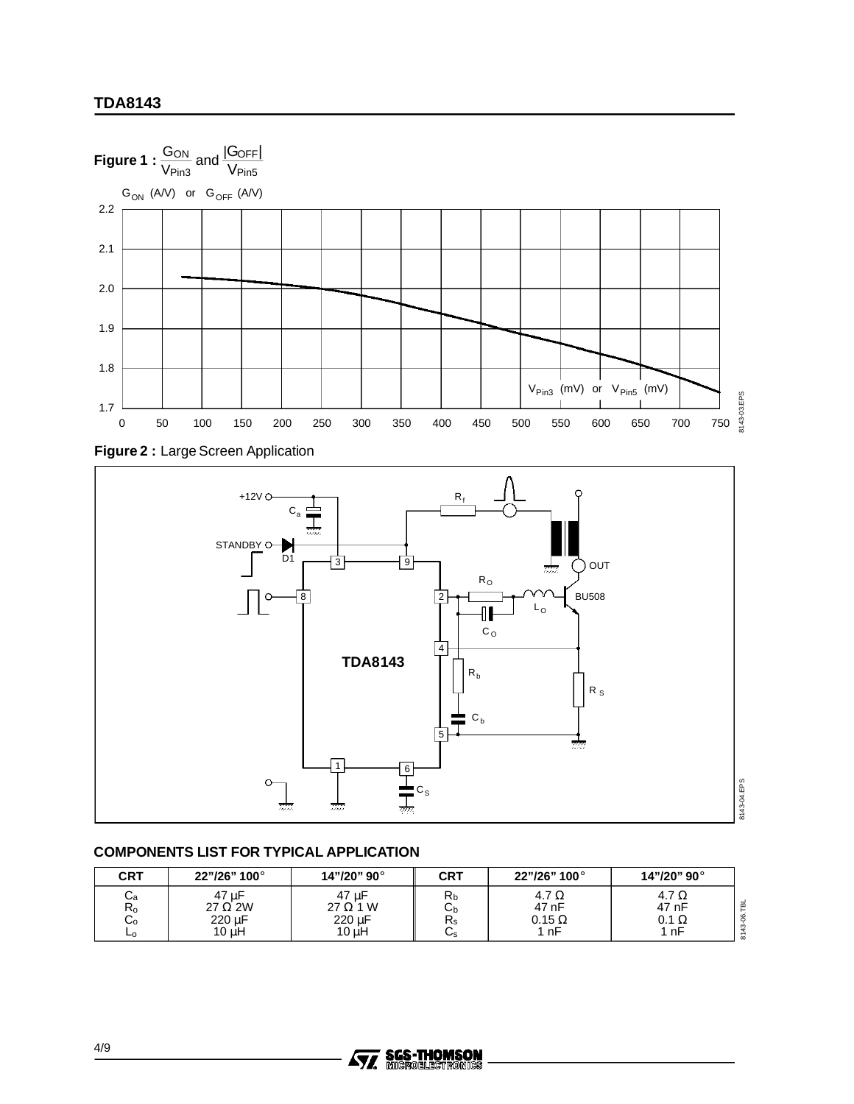





## **COMPONENTS LIST FOR TYPICAL APPLICATION**

| CRT                                 | 22"/26" 100°                                    | 14"/20" 90°                                 | <b>CRT</b>          | 22"/26" 100°                                 | 14"/20" 90°                          |
|-------------------------------------|-------------------------------------------------|---------------------------------------------|---------------------|----------------------------------------------|--------------------------------------|
| ۰a<br>$R_{o}$<br>$\sim$<br>◡◦<br>⊾o | 47 uF<br>$27 \Omega 2W$<br>220 µF<br>$10 \mu H$ | 47 µF<br>$27 \Omega 1 W$<br>220 µF<br>10 uH | Кb<br>◡<br>ΓS<br>Us | 4.7 $\Omega$<br>47 nF<br>$0.15 \Omega$<br>nF | 4.7 Ω<br>47 nF<br>$0.1 \Omega$<br>nF |

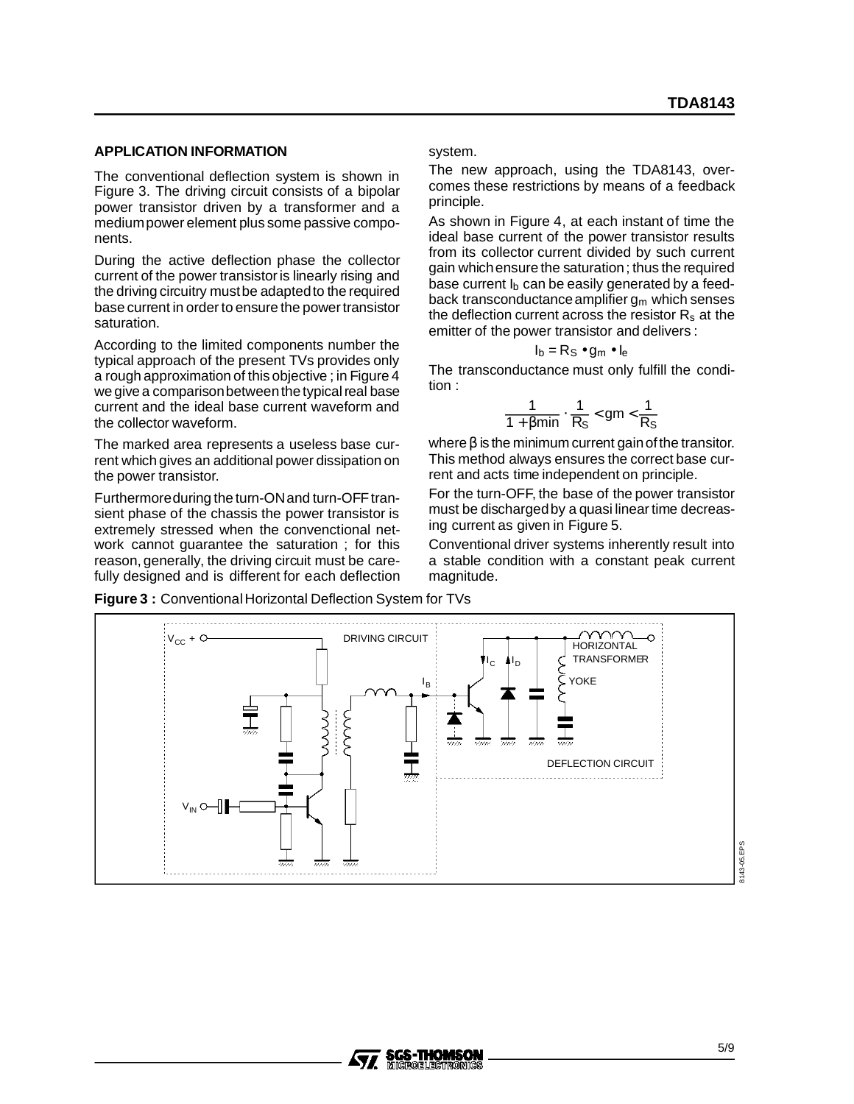#### **APPLICATION INFORMATION**

The conventional deflection system is shown in Figure 3. The driving circuit consists of a bipolar power transistor driven by a transformer and a mediumpower element plus some passive components.

During the active deflection phase the collector current of the power transistor is linearly rising and the driving circuitry mustbe adaptedto the required base current in order to ensure the power transistor saturation.

According to the limited components number the typical approach of the present TVs provides only a rough approximation of this objective ; in Figure 4 we give a comparisonbetweenthe typical real base current and the ideal base current waveform and the collector waveform.

The marked area represents a useless base current which gives an additional power dissipation on the power transistor.

Furthermoreduring the turn-ON and turn-OFF transient phase of the chassis the power transistor is extremely stressed when the convenctional network cannot guarantee the saturation ; for this reason, generally, the driving circuit must be carefully designed and is different for each deflection system.

The new approach, using the TDA8143, overcomes these restrictions by means of a feedback principle.

As shown in Figure 4, at each instant of time the ideal base current of the power transistor results from its collector current divided by such current gain whichensure the saturation; thus the required base current  $I<sub>b</sub>$  can be easily generated by a feedback transconductance amplifier  $g_m$  which senses the deflection current across the resistor  $R_s$  at the emitter of the power transistor and delivers :

#### $I_b = Rs \cdot g_m \cdot I_e$

The transconductance must only fulfill the condition :

$$
\frac{1}{1+\beta min} \cdot \frac{1}{R_S} < gm < \frac{1}{R_S}
$$

where  $\beta$  is the minimum current gain of the transitor. This method always ensures the correct base current and acts time independent on principle.

For the turn-OFF, the base of the power transistor must be dischargedby a quasi linear time decreasing current as given in Figure 5.

Conventional driver systems inherently result into a stable condition with a constant peak current magnitude.



57,

**Figure 3: Conventional Horizontal Deflection System for TVs**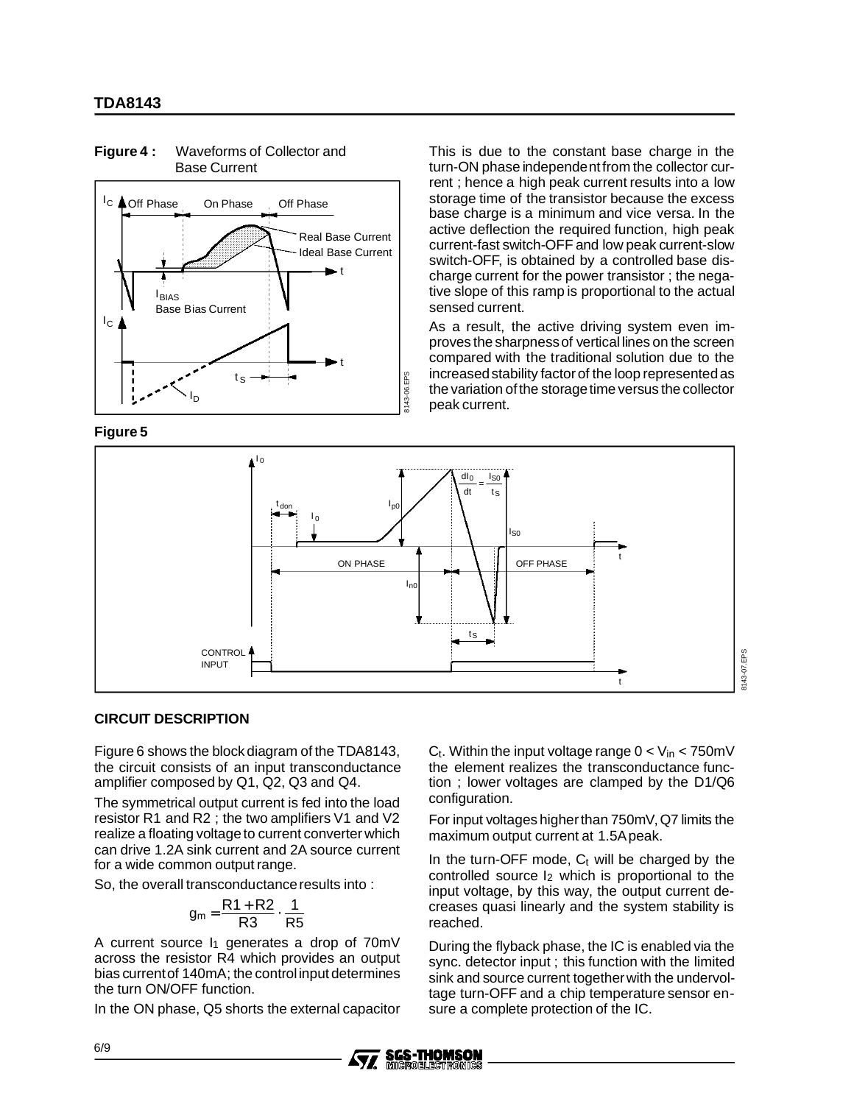

**Figure 4 :** Waveforms of Collector and Base Current

**Figure 5**

This is due to the constant base charge in the turn-ON phase independentfrom the collector current ; hence a high peak current results into a low storage time of the transistor because the excess base charge is a minimum and vice versa. In the active deflection the required function, high peak current-fast switch-OFF and low peak current-slow switch-OFF, is obtained by a controlled base discharge current for the power transistor ; the negative slope of this ramp is proportional to the actual sensed current.

As a result, the active driving system even improves the sharpnessof vertical lines on the screen compared with the traditional solution due to the increased stability factor of the loop represented as the variation of the storage time versus the collector peak current.



#### **CIRCUIT DESCRIPTION**

Figure 6 shows the block diagram of the TDA8143, the circuit consists of an input transconductance amplifier composed by Q1, Q2, Q3 and Q4.

The symmetrical output current is fed into the load resistor R1 and R2 ; the two amplifiers V1 and V2 realize a floating voltage to current converter which can drive 1.2A sink current and 2A source current for a wide common output range.

So, the overall transconductanceresults into :

$$
g_m = \frac{R1 + R2}{R3} \cdot \frac{1}{R5}
$$

A current source  $I_1$  generates a drop of 70mV across the resistor R4 which provides an output bias currentof 140mA; the controlinput determines the turn ON/OFF function.

In the ON phase, Q5 shorts the external capacitor

 $C_t$ . Within the input voltage range  $0 < V_{in} < 750$  mV the element realizes the transconductance function ; lower voltages are clamped by the D1/Q6 configuration.

8143-07.EPS

For input voltages higherthan 750mV, Q7 limits the maximum output current at 1.5Apeak.

In the turn-OFF mode,  $C_t$  will be charged by the controlled source I2 which is proportional to the input voltage, by this way, the output current decreases quasi linearly and the system stability is reached.

During the flyback phase, the IC is enabled via the sync. detector input ; this function with the limited sink and source current togetherwith the undervoltage turn-OFF and a chip temperature sensor ensure a complete protection of the IC.

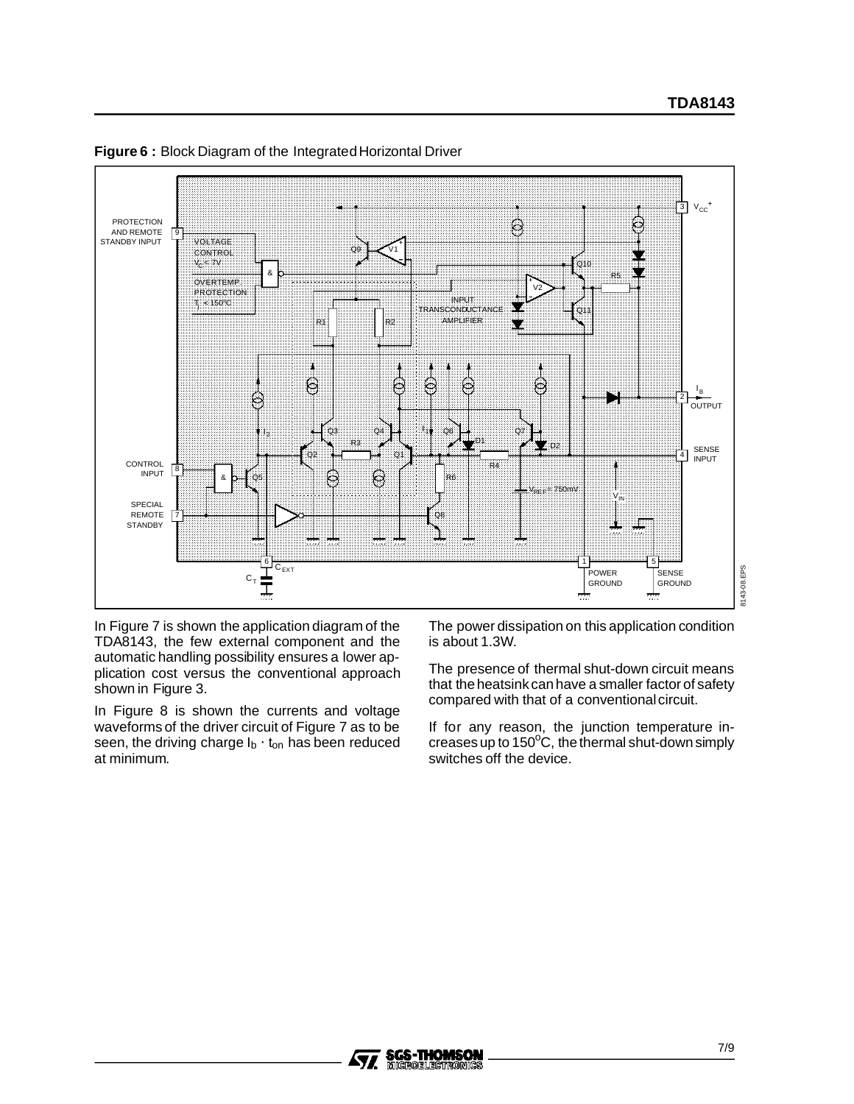

**Figure 6:** Block Diagram of the Integrated Horizontal Driver

In Figure 7 is shown the application diagram of the TDA8143, the few external component and the automatic handling possibility ensures a lower application cost versus the conventional approach shown in Figure 3.

In Figure 8 is shown the currents and voltage waveforms of the driver circuit of Figure 7 as to be seen, the driving charge  $I_b \cdot t_{on}$  has been reduced at minimum.

The power dissipation on this application condition is about 1.3W.

The presence of thermal shut-down circuit means that the heatsink can have a smaller factor of safety compared with that of a conventional circuit.

If for any reason, the junction temperature increases up to 150 $\rm ^{o}C$ , the thermal shut-down simply switches off the device.

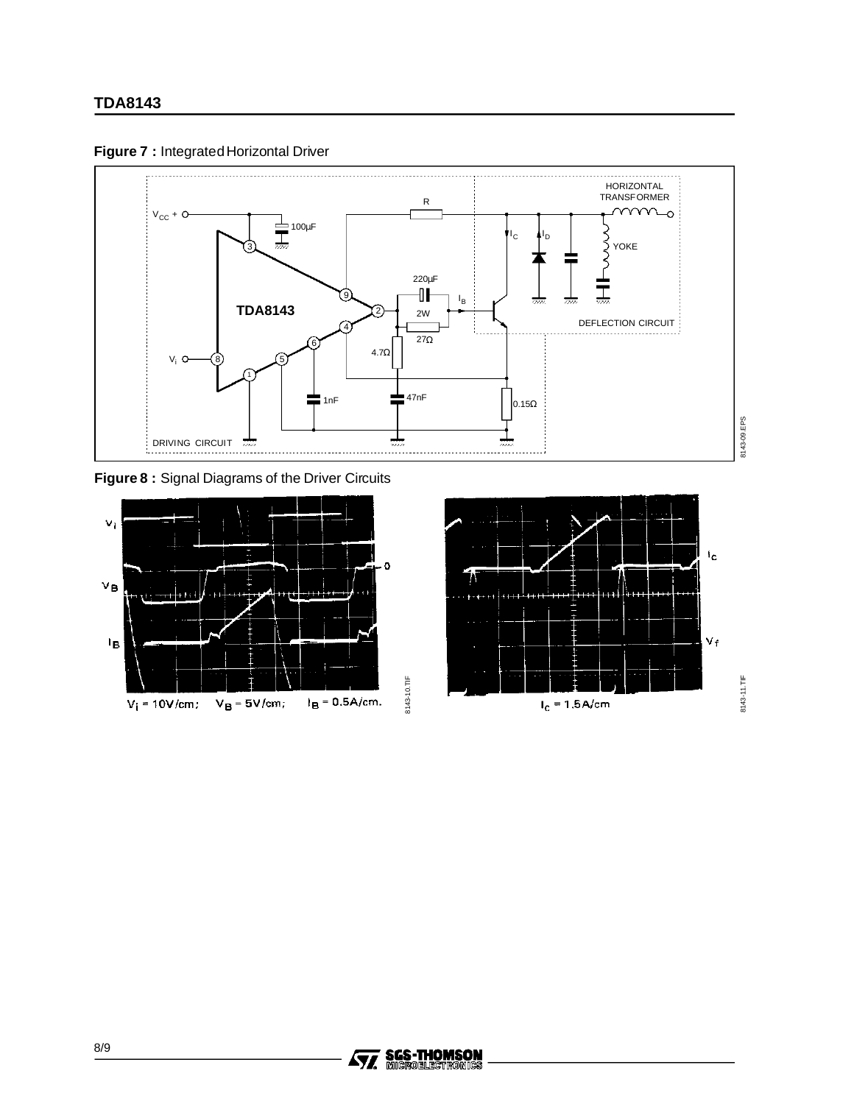



**Figure 8 :** Signal Diagrams of the Driver Circuits